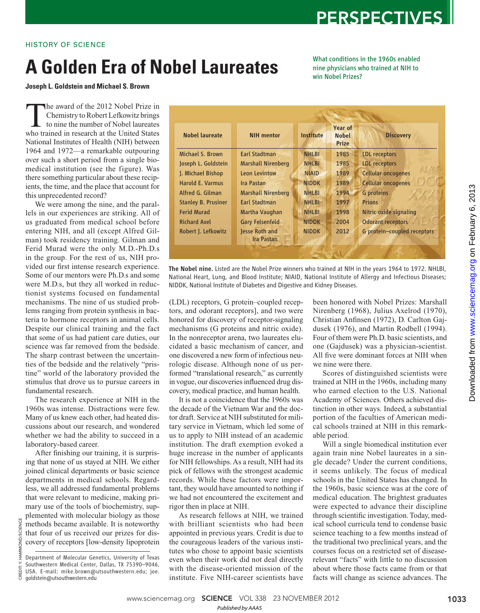#### HISTORY OF SCIENCE

## **A Golden Era of Nobel Laureates**

**Joseph L. Goldstein and Michael S. Brown** 

The award of the 2012 Nobel Prize in<br>Chemistry to Robert Lefkowitz brings<br>to nine the number of Nobel laureates<br>who trained in research at the United States Chemistry to Robert Lefkowitz brings to nine the number of Nobel laureates who trained in research at the United States National Institutes of Health (NIH) between 1964 and 1972—a remarkable outpouring over such a short period from a single biomedical institution (see the figure). Was there something particular about these recipients, the time, and the place that account for this unprecedented record?

We were among the nine, and the parallels in our experiences are striking. All of us graduated from medical school before entering NIH, and all (except Alfred Gilman) took residency training. Gilman and Ferid Murad were the only M.D.-Ph.D.s in the group. For the rest of us, NIH provided our first intense research experience. Some of our mentors were Ph.D.s and some were M.D.s, but they all worked in reductionist systems focused on fundamental mechanisms. The nine of us studied problems ranging from protein synthesis in bacteria to hormone receptors in animal cells. Despite our clinical training and the fact that some of us had patient care duties, our science was far removed from the bedside. The sharp contrast between the uncertainties of the bedside and the relatively "pristine" world of the laboratory provided the stimulus that drove us to pursue careers in fundamental research.

The research experience at NIH in the 1960s was intense. Distractions were few. Many of us knew each other, had heated discussions about our research, and wondered whether we had the ability to succeed in a laboratory-based career.

After finishing our training, it is surprising that none of us stayed at NIH. We either joined clinical departments or basic science departments in medical schools. Regardless, we all addressed fundamental problems that were relevant to medicine, making primary use of the tools of biochemistry, supplemented with molecular biology as those methods became available. It is noteworthy that four of us received our prizes for discovery of receptors [low-density lipoprotein

CREDIT: Y. HAMMOND/SCIENCE

CREDIT: Y. HAN

**MOND/SCIENCE** 

(LDL) receptors, G protein–coupled receptors, and odorant receptors], and two were honored for discovery of receptor-signaling mechanisms (G proteins and nitric oxide). In the nonreceptor arena, two laureates elucidated a basic mechanism of cancer, and one discovered a new form of infectious neurologic disease. Although none of us performed "translational research," as currently in vogue, our discoveries influenced drug discovery, medical practice, and human health.

Robert J. Lefkowitz Jesse Roth and

Nobel laureate **NIH mentor** Institute

Ira Pastan

Michael S. Brown Earl Stadtman NHLBI 1985 LDL receptors Joseph L. Goldstein Marshall Nirenberg NHLBI 1985 LDL receptors J. Michael Bishop Leon Levintow NIAID 1989 Cellular oncogenes Harold E. Varmus III Ira Pastan NIDDK 1989 Cellular oncogenes Alfred G. Gilman Marshall Nirenberg NHLBI 1994 G proteins Stanley B. Prusiner Earl Stadtman NHLBI 1997 Prions

Ferid Murad Martha Vaughan NHLBI 1998 Nitric oxide signaling Richard Axel Gary Felsenfeld NIDDK 2004 Odorant receptors

It is not a coincidence that the 1960s was the decade of the Vietnam War and the doctor draft. Service at NIH substituted for military service in Vietnam, which led some of us to apply to NIH instead of an academic institution. The draft exemption evoked a huge increase in the number of applicants for NIH fellowships. As a result, NIH had its pick of fellows with the strongest academic records. While these factors were important, they would have amounted to nothing if we had not encountered the excitement and rigor then in place at NIH.

As research fellows at NIH, we trained with brilliant scientists who had been appointed in previous years. Credit is due to the courageous leaders of the various institutes who chose to appoint basic scientists even when their work did not deal directly with the disease-oriented mission of the institute. Five NIH-career scientists have been honored with Nobel Prizes: Marshall Nirenberg (1968), Julius Axelrod (1970), Christian Anfinsen (1972), D. Carlton Gajdusek (1976), and Martin Rodbell (1994). Four of them were Ph.D. basic scientists, and one (Gajdusek) was a physician-scientist. All five were dominant forces at NIH when we nine were there.

NIDDK 2012 G protein–coupled receptors

Scores of distinguished scientists were trained at NIH in the 1960s, including many who earned election to the U.S. National Academy of Sciences. Others achieved distinction in other ways. Indeed, a substantial portion of the faculties of American medical schools trained at NIH in this remarkable period.

Will a single biomedical institution ever again train nine Nobel laureates in a single decade? Under the current conditions, it seems unlikely. The focus of medical schools in the United States has changed. In the 1960s, basic science was at the core of medical education. The brightest graduates were expected to advance their discipline through scientific investigation. Today, medical school curricula tend to condense basic science teaching to a few months instead of the traditional two preclinical years, and the courses focus on a restricted set of diseaserelevant "facts" with little to no discussion about where those facts came from or that facts will change as science advances. The

### What conditions in the 1960s enabled nine physicians who trained at NIH to win Nobel Prizes?

Year of Nobel Prize

PERSPECTIVES

**Discovery** 

The Nobel nine. Listed are the Nobel Prize winners who trained at NIH in the years 1964 to 1972. NHLBI, National Heart, Lung, and Blood Institute; NIAID, National Institute of Allergy and Infectious Diseases; NIDDK, National Institute of Diabetes and Digestive and Kidney Diseases.

Department of Molecular Genetics, University of Texas Southwestern Medical Center, Dallas, TX 75390–9046, USA. E-mail: mike.brown@utsouthwestern.edu; joe. goldstein@utsouthwestern.edu